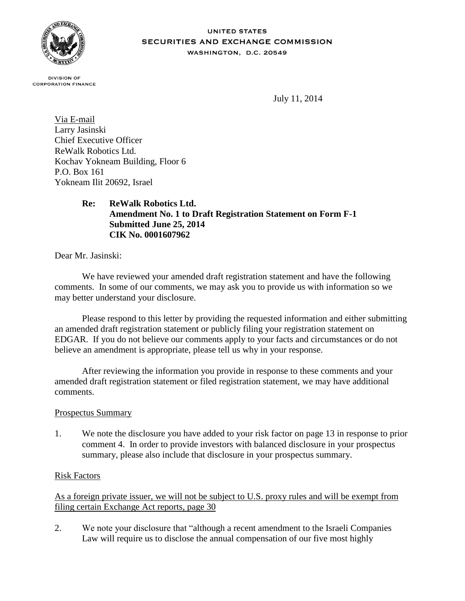

#### **UNITED STATES** SECURITIES AND EXCHANGE COMMISSION WASHINGTON, D.C. 20549

**DIVISION OF CORPORATION FINANCE** 

July 11, 2014

Via E-mail Larry Jasinski Chief Executive Officer ReWalk Robotics Ltd. Kochav Yokneam Building, Floor 6 P.O. Box 161 Yokneam Ilit 20692, Israel

> **Re: ReWalk Robotics Ltd. Amendment No. 1 to Draft Registration Statement on Form F-1 Submitted June 25, 2014 CIK No. 0001607962**

Dear Mr. Jasinski:

We have reviewed your amended draft registration statement and have the following comments. In some of our comments, we may ask you to provide us with information so we may better understand your disclosure.

Please respond to this letter by providing the requested information and either submitting an amended draft registration statement or publicly filing your registration statement on EDGAR. If you do not believe our comments apply to your facts and circumstances or do not believe an amendment is appropriate, please tell us why in your response.

After reviewing the information you provide in response to these comments and your amended draft registration statement or filed registration statement, we may have additional comments.

### Prospectus Summary

1. We note the disclosure you have added to your risk factor on page 13 in response to prior comment 4. In order to provide investors with balanced disclosure in your prospectus summary, please also include that disclosure in your prospectus summary.

# Risk Factors

As a foreign private issuer, we will not be subject to U.S. proxy rules and will be exempt from filing certain Exchange Act reports, page 30

2. We note your disclosure that "although a recent amendment to the Israeli Companies Law will require us to disclose the annual compensation of our five most highly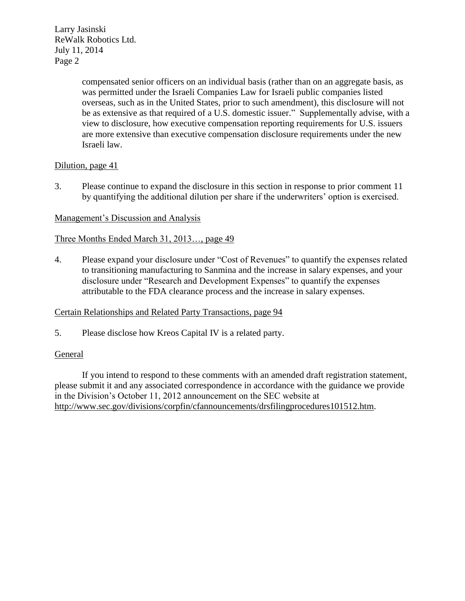Larry Jasinski ReWalk Robotics Ltd. July 11, 2014 Page 2

> compensated senior officers on an individual basis (rather than on an aggregate basis, as was permitted under the Israeli Companies Law for Israeli public companies listed overseas, such as in the United States, prior to such amendment), this disclosure will not be as extensive as that required of a U.S. domestic issuer." Supplementally advise, with a view to disclosure, how executive compensation reporting requirements for U.S. issuers are more extensive than executive compensation disclosure requirements under the new Israeli law.

## Dilution, page 41

3. Please continue to expand the disclosure in this section in response to prior comment 11 by quantifying the additional dilution per share if the underwriters' option is exercised.

## Management's Discussion and Analysis

### Three Months Ended March 31, 2013…, page 49

4. Please expand your disclosure under "Cost of Revenues" to quantify the expenses related to transitioning manufacturing to Sanmina and the increase in salary expenses, and your disclosure under "Research and Development Expenses" to quantify the expenses attributable to the FDA clearance process and the increase in salary expenses.

### Certain Relationships and Related Party Transactions, page 94

5. Please disclose how Kreos Capital IV is a related party.

### General

If you intend to respond to these comments with an amended draft registration statement, please submit it and any associated correspondence in accordance with the guidance we provide in the Division's October 11, 2012 announcement on the SEC website at http://www.sec.gov/divisions/corpfin/cfannouncements/drsfilingprocedures101512.htm.